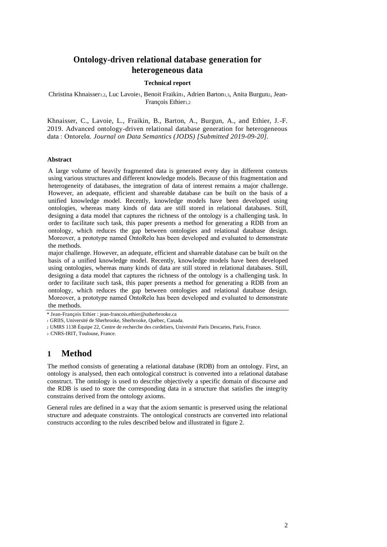# **Ontology-driven relational database generation for heterogeneous data**

## **Technical report**

Christina Khnaisser1,2, Luc Lavoie1, Benoit Fraikin1, Adrien Barton1,3, Anita Burgun2, Jean-François Ethier1,2

Khnaisser, C., Lavoie, L., Fraikin, B., Barton, A., Burgun, A., and Ethier, J.-F. 2019. Advanced ontology-driven relational database generation for heterogeneous data : Ontorelα. *Journal on Data Semantics (JODS) [Submitted 2019-09-20]*.

## **Abstract**

A large volume of heavily fragmented data is generated every day in different contexts using various structures and different knowledge models. Because of this fragmentation and heterogeneity of databases, the integration of data of interest remains a major challenge. However, an adequate, efficient and shareable database can be built on the basis of a unified knowledge model. Recently, knowledge models have been developed using ontologies, whereas many kinds of data are still stored in relational databases. Still, designing a data model that captures the richness of the ontology is a challenging task. In order to facilitate such task, this paper presents a method for generating a RDB from an ontology, which reduces the gap between ontologies and relational database design. Moreover, a prototype named OntoRelα has been developed and evaluated to demonstrate the methods.

major challenge. However, an adequate, efficient and shareable database can be built on the basis of a unified knowledge model. Recently, knowledge models have been developed using ontologies, whereas many kinds of data are still stored in relational databases. Still, designing a data model that captures the richness of the ontology is a challenging task. In order to facilitate such task, this paper presents a method for generating a RDB from an ontology, which reduces the gap between ontologies and relational database design. Moreover, a prototype named OntoRelα has been developed and evaluated to demonstrate the methods.

<sup>3</sup>CNRS-IRIT, Toulouse, France.

# **1 Method**

The method consists of generating a relational database (RDB) from an ontology. First, an ontology is analysed, then each ontological construct is converted into a relational database construct. The ontology is used to describe objectively a specific domain of discourse and the RDB is used to store the corresponding data in a structure that satisfies the integrity constrains derived from the ontology axioms.

General rules are defined in a way that the axiom semantic is preserved using the relational structure and adequate constraints. The ontological constructs are converted into relational constructs according to the rules described below and illustrated in figure 2.

<sup>\*</sup> Jean-François Ethier : jean-francois.ethier@usherbrooke.ca

<sup>1</sup>GRIIS, Université de Sherbrooke, Sherbrooke, Québec, Canada.

<sup>2</sup>UMRS 1138 Équipe 22, Centre de recherche des cordeliers, Université Paris Descartes, Paris, France.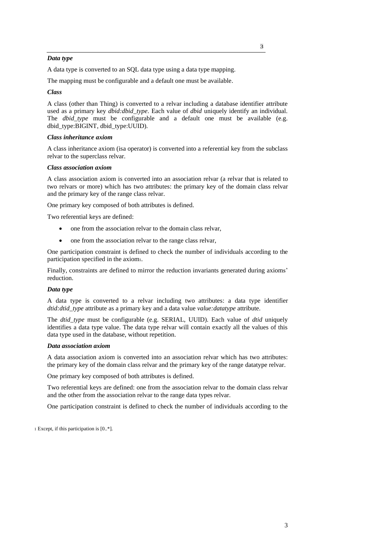## *Data type*

A data type is converted to an SQL data type using a data type mapping.

The mapping must be configurable and a default one must be available.

## *Class*

A class (other than Thing) is converted to a relvar including a database identifier attribute used as a primary key *dbid:dbid\_type*. Each value of *dbid* uniquely identify an individual. The *dbid type* must be configurable and a default one must be available (e.g. dbid\_type:BIGINT, dbid\_type:UUID).

#### *Class inheritance axiom*

A class inheritance axiom (isa operator) is converted into a referential key from the subclass relvar to the superclass relvar.

## *Class association axiom*

A class association axiom is converted into an association relvar (a relvar that is related to two relvars or more) which has two attributes: the primary key of the domain class relvar and the primary key of the range class relvar.

One primary key composed of both attributes is defined.

Two referential keys are defined:

- one from the association relvar to the domain class relvar,
- one from the association relvar to the range class relvar,

One participation constraint is defined to check the number of individuals according to the participation specified in the axiom1.

Finally, constraints are defined to mirror the reduction invariants generated during axioms' reduction.

#### *Data type*

A data type is converted to a relvar including two attributes: a data type identifier *dtid:dtid\_type* attribute as a primary key and a data value *value:datatype* attribute.

The *dtid\_type* must be configurable (e.g. SERIAL, UUID). Each value of *dtid* uniquely identifies a data type value. The data type relvar will contain exactly all the values of this data type used in the database, without repetition.

#### *Data association axiom*

A data association axiom is converted into an association relvar which has two attributes: the primary key of the domain class relvar and the primary key of the range datatype relvar.

One primary key composed of both attributes is defined.

Two referential keys are defined: one from the association relvar to the domain class relvar and the other from the association relvar to the range data types relvar.

One participation constraint is defined to check the number of individuals according to the

1 Except, if this participation is [0..\*].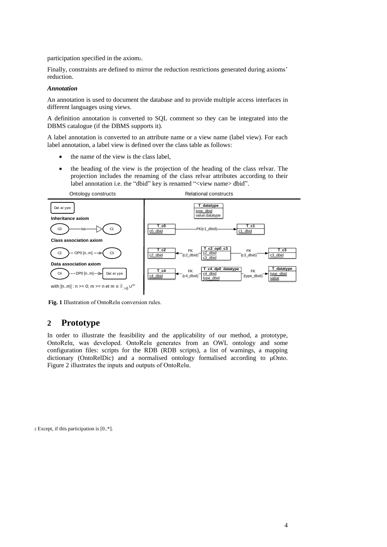participation specified in the axiom2.

Finally, constraints are defined to mirror the reduction restrictions generated during axioms' reduction.

#### *Annotation*

An annotation is used to document the database and to provide multiple access interfaces in different languages using views.

A definition annotation is converted to SQL comment so they can be integrated into the DBMS catalogue (if the DBMS supports it).

A label annotation is converted to an attribute name or a view name (label view). For each label annotation, a label view is defined over the class table as follows:

- the name of the view is the class label,
- the heading of the view is the projection of the heading of the class relvar. The projection includes the renaming of the class relvar attributes according to their label annotation i.e. the "dbid" key is renamed "<view name> dbid".



**Fig. 1** Illustration of OntoRelα conversion rules.

# **2 Prototype**

In order to illustrate the feasibility and the applicability of our method, a prototype, OntoRelα, was developed. OntoRelα generates from an OWL ontology and some configuration files: scripts for the RDB (RDB scripts), a list of warnings, a mapping dictionary (OntoRelDic) and a normalised ontology formalised according to μOnto. Figure 2 illustrates the inputs and outputs of OntoRelα.

2 Except, if this participation is [0..\*].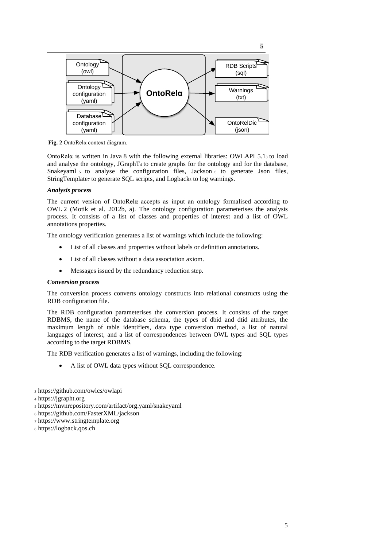

**Fig. 2** OntoRelα context diagram.

OntoRelα is written in Java 8 with the following external libraries: OWLAPI 5.1<sup>3</sup> to load and analyse the ontology,  $JGraphT<sub>4</sub>$  to create graphs for the ontology and for the database, Snakeyaml 5 to analyse the configuration files, Jackson 6 to generate Json files, StringTemplate7 to generate SQL scripts, and Logbacks to log warnings.

## *Analysis process*

The current version of OntoRelα accepts as input an ontology formalised according to OWL 2 (Motik et al. 2012b, a). The ontology configuration parameterises the analysis process. It consists of a list of classes and properties of interest and a list of OWL annotations properties.

The ontology verification generates a list of warnings which include the following:

- List of all classes and properties without labels or definition annotations.
- List of all classes without a data association axiom.
- Messages issued by the redundancy reduction step.

#### *Conversion process*

The conversion process converts ontology constructs into relational constructs using the RDB configuration file.

The RDB configuration parameterises the conversion process. It consists of the target RDBMS, the name of the database schema, the types of dbid and dtid attributes, the maximum length of table identifiers, data type conversion method, a list of natural languages of interest, and a list of correspondences between OWL types and SQL types according to the target RDBMS.

The RDB verification generates a list of warnings, including the following:

- A list of OWL data types without SQL correspondence.
- <sup>3</sup> https://github.com/owlcs/owlapi
- <sup>4</sup> https://jgrapht.org
- <sup>5</sup> https://mvnrepository.com/artifact/org.yaml/snakeyaml
- <sup>6</sup> https://github.com/FasterXML/jackson
- <sup>7</sup> https://www.stringtemplate.org
- <sup>8</sup> https://logback.qos.ch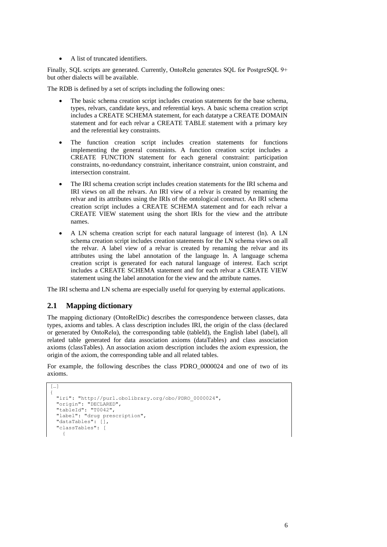• A list of truncated identifiers.

Finally, SQL scripts are generated. Currently, OntoRelα generates SQL for PostgreSQL 9+ but other dialects will be available.

The RDB is defined by a set of scripts including the following ones:

- The basic schema creation script includes creation statements for the base schema, types, relvars, candidate keys, and referential keys. A basic schema creation script includes a CREATE SCHEMA statement, for each datatype a CREATE DOMAIN statement and for each relvar a CREATE TABLE statement with a primary key and the referential key constraints.
- The function creation script includes creation statements for functions implementing the general constraints. A function creation script includes a CREATE FUNCTION statement for each general constraint: participation constraints, no-redundancy constraint, inheritance constraint, union constraint, and intersection constraint.
- The IRI schema creation script includes creation statements for the IRI schema and IRI views on all the relvars. An IRI view of a relvar is created by renaming the relvar and its attributes using the IRIs of the ontological construct. An IRI schema creation script includes a CREATE SCHEMA statement and for each relvar a CREATE VIEW statement using the short IRIs for the view and the attribute names.
- A LN schema creation script for each natural language of interest (ln). A LN schema creation script includes creation statements for the LN schema views on all the relvar. A label view of a relvar is created by renaming the relvar and its attributes using the label annotation of the language ln. A language schema creation script is generated for each natural language of interest. Each script includes a CREATE SCHEMA statement and for each relvar a CREATE VIEW statement using the label annotation for the view and the attribute names.

The IRI schema and LN schema are especially useful for querying by external applications.

## **2.1 Mapping dictionary**

The mapping dictionary (OntoRelDic) describes the correspondence between classes, data types, axioms and tables. A class description includes IRI, the origin of the class (declared or generated by OntoRelα), the corresponding table (tableId), the English label (label), all related table generated for data association axioms (dataTables) and class association axioms (classTables). An association axiom description includes the axiom expression, the origin of the axiom, the corresponding table and all related tables.

For example, the following describes the class PDRO\_0000024 and one of two of its axioms.

```
[…]
{
 "iri": "http://purl.obolibrary.org/obo/PDRO_0000024",
 "origin": "DECLARED",
 "tableId": "T0042",
  "label": "drug prescription",
  "dataTables": [],
   "classTables": [
    {
```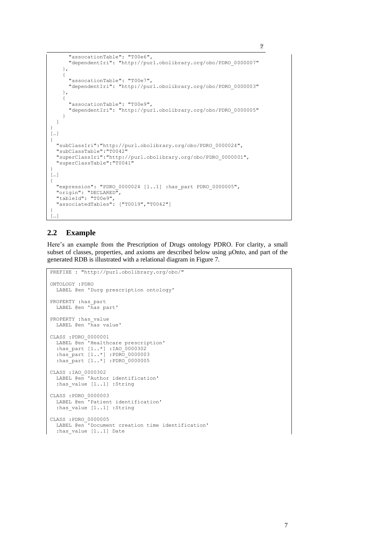```
 "assocationTable": "T00e6",
       "dependentIri": "http://purl.obolibrary.org/obo/PDRO_0000007"
     },
     {
       "assocationTable": "T00e7",
       "dependentIri": "http://purl.obolibrary.org/obo/PDRO_0000003"
     },
     {
       "assocationTable": "T00e9",
       "dependentIri": "http://purl.obolibrary.org/obo/PDRO_0000005"
     }
  ]
} 
\lceil \dots \rceil{
  "subClassIri":"http://purl.obolibrary.org/obo/PDRO_0000024",
  "subClassTable":"T0042"
 "superClassIri":"http://purl.obolibrary.org/obo/PDRO_0000001",
 "superClassTable":"T0041"
}
[…]
{
   "expression": "PDRO_0000024 [1..1] :has_part PDRO_0000005",
 "origin": "DECLARED",
 "tableId": "T00e9",
   "associatedTables": ["T0019","T0042"]
}
[...]
```
7

## **2.2 Example**

Here's an example from the Prescription of Drugs ontology PDRO. For clarity, a small subset of classes, properties, and axioms are described below using μOnto, and part of the generated RDB is illustrated with a relational diagram in Figure 7.

```
PREFIXE : "http://purl.obolibrary.org/obo/"
ONTOLOGY :PDRO
  LABEL @en 'Durg prescription ontology'
PROPERTY : has part
  LABEL @en 'has part'
PROPERTY : has value
  LABEL @en 'has value'
CLASS :PDRO_0000001
  LABEL @en 'Healthcare prescription'
 :has_part [1..*] :IAO_0000302
 :has_part [1..*] :PDRO_0000003
 :has_part [1..*] :PDRO_0000005
CLASS :IAO_0000302
  LABEL @en 'Author identification' 
  : has value [1..1] : String
CLASS :PDRO_0000003
  LABEL @en<sup>-</sup>'Patient identification'
  : has value [1..1] : String
CLASS :PDRO_0000005
   LABEL @en 'Document creation time identification'
   :has_value [1..1] Date
```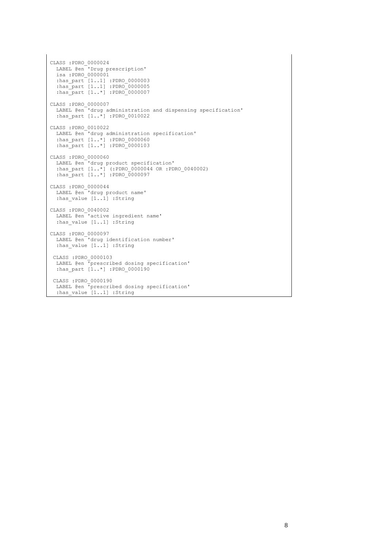```
CLASS :PDRO_0000024
   LABEL @en 'Drug prescription' 
   isa :PDRO_0000001
 :has_part [1..1] :PDRO_0000003
 :has_part [1..1] :PDRO_0000005
 :has_part [1..*] :PDRO_0000007 
CLASS :PDRO_0000007
 LABEL @en 'drug administration and dispensing specification' 
 :has_part [1..*] :PDRO_0010022
CLASS :PDRO_0010022
 LABEL @en<sup>-</sup>drug administration specification'
 :has_part [1..*] :PDRO_0000060
 :has_part [1..*] :PDRO_0000103
CLASS :PDRO_0000060
 LABEL @en 'drug product specification' 
 :has_part [1..*] (:PDRO_0000044 OR :PDRO_0040002)
 :has_part [1..*] :PDRO_0000097
CLASS :PDRO_0000044
 LABEL @en 'drug product name' 
 : has value [1..1] : String
CLASS :PDRO_0040002
 LABEL @en<sup>-</sup>'active ingredient name'
 : has value [1..1] : String
CLASS :PDRO_0000097
  LABEL @en 'drug identification number' 
 : has value [1..1] : String
 CLASS :PDRO_0000103
 LABEL @en 'prescribed dosing specification' 
 :has_part [1..*] :PDRO_0000190
CLASS :PDRO_0000190
  LABEL @en 'prescribed dosing specification' 
  : has value [1..1] : String
```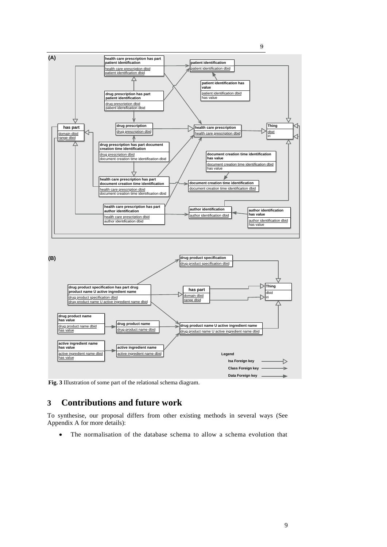

**Fig. 3** Illustration of some part of the relational schema diagram.

# **3 Contributions and future work**

To synthesise, our proposal differs from other existing methods in several ways (See Appendix A for more details):

• The normalisation of the database schema to allow a schema evolution that

9